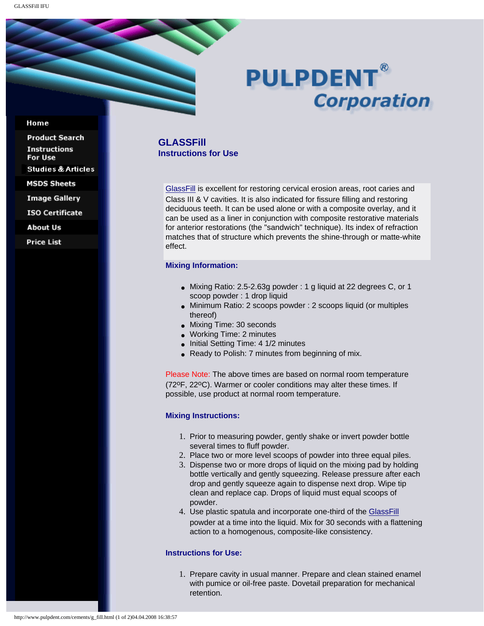# **PULPDENT® Corporation**

#### Home

**Product Search Instructions** For Use **Studies & Articles MSDS Sheets** 

**Image Gallery** 

**ISO Certificate** 

**About Us** 

**Price List** 

## **GLASSFill Instructions for Use**

[GlassFill](http://www.pulpdent.com/cements/glass_cements.html#fill) is excellent for restoring cervical erosion areas, root caries and Class III & V cavities. It is also indicated for fissure filling and restoring deciduous teeth. It can be used alone or with a composite overlay, and it can be used as a liner in conjunction with composite restorative materials for anterior restorations (the "sandwich" technique). Its index of refraction matches that of structure which prevents the shine-through or matte-white effect.

### **Mixing Information:**

- Mixing Ratio: 2.5-2.63g powder : 1 g liquid at 22 degrees C, or 1 scoop powder : 1 drop liquid
- Minimum Ratio: 2 scoops powder : 2 scoops liquid (or multiples thereof)
- Mixing Time: 30 seconds
- Working Time: 2 minutes
- Initial Setting Time: 4 1/2 minutes
- Ready to Polish: 7 minutes from beginning of mix.

Please Note: The above times are based on normal room temperature (72oF, 22oC). Warmer or cooler conditions may alter these times. If possible, use product at normal room temperature.

## **Mixing Instructions:**

- 1. Prior to measuring powder, gently shake or invert powder bottle several times to fluff powder.
- 2. Place two or more level scoops of powder into three equal piles.
- 3. Dispense two or more drops of liquid on the mixing pad by holding bottle vertically and gently squeezing. Release pressure after each drop and gently squeeze again to dispense next drop. Wipe tip clean and replace cap. Drops of liquid must equal scoops of powder.
- 4. Use plastic spatula and incorporate one-third of the [GlassFill](http://www.pulpdent.com/cements/glass_cements.html#fill) powder at a time into the liquid. Mix for 30 seconds with a flattening action to a homogenous, composite-like consistency.

#### **Instructions for Use:**

1. Prepare cavity in usual manner. Prepare and clean stained enamel with pumice or oil-free paste. Dovetail preparation for mechanical retention.